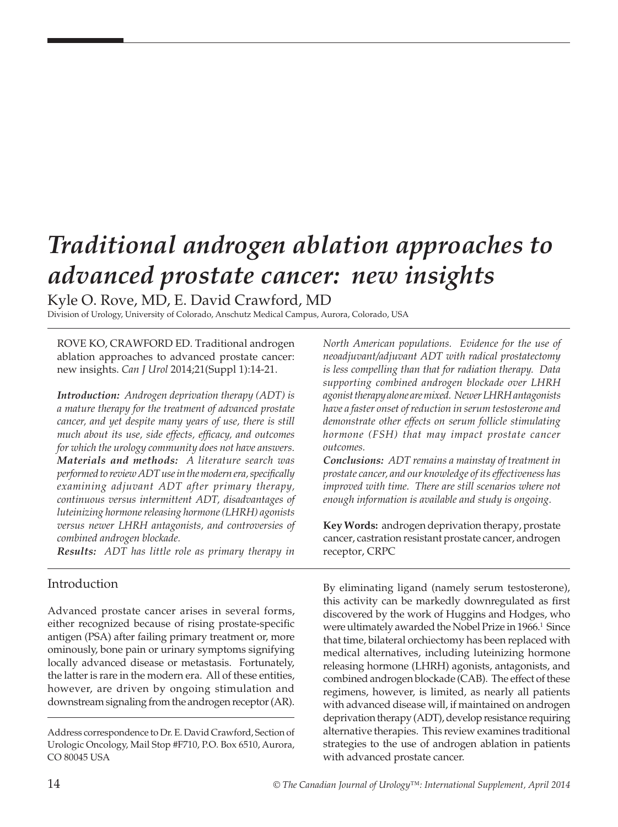# *Traditional androgen ablation approaches to advanced prostate cancer: new insights*

Kyle O. Rove, MD, E. David Crawford, MD

Division of Urology, University of Colorado, Anschutz Medical Campus, Aurora, Colorado, USA

ROVE KO, CRAWFORD ED. Traditional androgen ablation approaches to advanced prostate cancer: new insights. *Can J Urol* 2014;21(Suppl 1):14-21.

*Introduction: Androgen deprivation therapy (ADT) is a mature therapy for the treatment of advanced prostate cancer, and yet despite many years of use, there is still much about its use, side effects, efficacy, and outcomes for which the urology community does not have answers. Materials and methods: A literature search was performed to review ADT use in the modern era, specifically examining adjuvant ADT after primary therapy, continuous versus intermittent ADT, disadvantages of luteinizing hormone releasing hormone (LHRH) agonists versus newer LHRH antagonists, and controversies of combined androgen blockade.* 

*Results: ADT has little role as primary therapy in* 

## Introduction

Advanced prostate cancer arises in several forms, either recognized because of rising prostate-specific antigen (PSA) after failing primary treatment or, more ominously, bone pain or urinary symptoms signifying locally advanced disease or metastasis. Fortunately, the latter is rare in the modern era. All of these entities, however, are driven by ongoing stimulation and downstream signaling from the androgen receptor (AR).

*North American populations. Evidence for the use of neoadjuvant/adjuvant ADT with radical prostatectomy is less compelling than that for radiation therapy. Data supporting combined androgen blockade over LHRH agonist therapy alone are mixed. Newer LHRH antagonists have a faster onset of reduction in serum testosterone and demonstrate other effects on serum follicle stimulating hormone (FSH) that may impact prostate cancer outcomes.*

*Conclusions: ADT remains a mainstay of treatment in prostate cancer, and our knowledge of its effectiveness has improved with time. There are still scenarios where not enough information is available and study is ongoing.*

**Key Words:** androgen deprivation therapy, prostate cancer, castration resistant prostate cancer, androgen receptor, CRPC

By eliminating ligand (namely serum testosterone), this activity can be markedly downregulated as first discovered by the work of Huggins and Hodges, who were ultimately awarded the Nobel Prize in 1966.<sup>1</sup> Since that time, bilateral orchiectomy has been replaced with medical alternatives, including luteinizing hormone releasing hormone (LHRH) agonists, antagonists, and combined androgen blockade (CAB). The effect of these regimens, however, is limited, as nearly all patients with advanced disease will, if maintained on androgen deprivation therapy (ADT), develop resistance requiring alternative therapies. This review examines traditional strategies to the use of androgen ablation in patients with advanced prostate cancer.

Address correspondence to Dr. E. David Crawford, Section of Urologic Oncology, Mail Stop #F710, P.O. Box 6510, Aurora, CO 80045 USA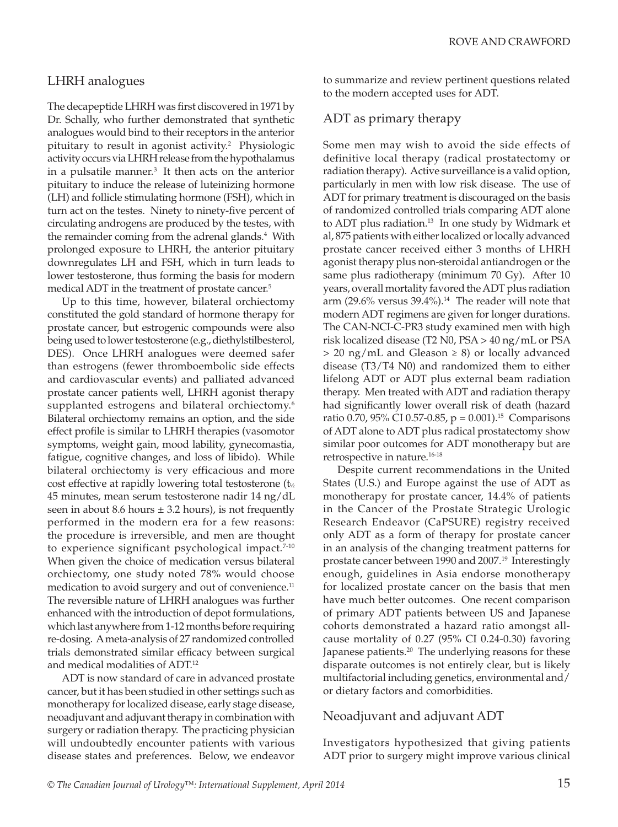## LHRH analogues

The decapeptide LHRH was first discovered in 1971 by Dr. Schally, who further demonstrated that synthetic analogues would bind to their receptors in the anterior pituitary to result in agonist activity.2 Physiologic activity occurs via LHRH release from the hypothalamus in a pulsatile manner.<sup>3</sup> It then acts on the anterior pituitary to induce the release of luteinizing hormone (LH) and follicle stimulating hormone (FSH), which in turn act on the testes. Ninety to ninety-five percent of circulating androgens are produced by the testes, with the remainder coming from the adrenal glands.<sup>4</sup> With prolonged exposure to LHRH, the anterior pituitary downregulates LH and FSH, which in turn leads to lower testosterone, thus forming the basis for modern medical ADT in the treatment of prostate cancer.<sup>5</sup>

Up to this time, however, bilateral orchiectomy constituted the gold standard of hormone therapy for prostate cancer, but estrogenic compounds were also being used to lower testosterone (e.g., diethylstilbesterol, DES). Once LHRH analogues were deemed safer than estrogens (fewer thromboembolic side effects and cardiovascular events) and palliated advanced prostate cancer patients well, LHRH agonist therapy supplanted estrogens and bilateral orchiectomy.<sup>6</sup> Bilateral orchiectomy remains an option, and the side effect profile is similar to LHRH therapies (vasomotor symptoms, weight gain, mood lability, gynecomastia, fatigue, cognitive changes, and loss of libido). While bilateral orchiectomy is very efficacious and more cost effective at rapidly lowering total testosterone (t½ 45 minutes, mean serum testosterone nadir 14 ng/dL seen in about 8.6 hours  $\pm$  3.2 hours), is not frequently performed in the modern era for a few reasons: the procedure is irreversible, and men are thought to experience significant psychological impact.<sup>7-10</sup> When given the choice of medication versus bilateral orchiectomy, one study noted 78% would choose medication to avoid surgery and out of convenience.<sup>11</sup> The reversible nature of LHRH analogues was further enhanced with the introduction of depot formulations, which last anywhere from 1-12 months before requiring re-dosing. A meta-analysis of 27 randomized controlled trials demonstrated similar efficacy between surgical and medical modalities of ADT.12

ADT is now standard of care in advanced prostate cancer, but it has been studied in other settings such as monotherapy for localized disease, early stage disease, neoadjuvant and adjuvant therapy in combination with surgery or radiation therapy. The practicing physician will undoubtedly encounter patients with various disease states and preferences. Below, we endeavor to summarize and review pertinent questions related to the modern accepted uses for ADT.

## ADT as primary therapy

Some men may wish to avoid the side effects of definitive local therapy (radical prostatectomy or radiation therapy). Active surveillance is a valid option, particularly in men with low risk disease. The use of ADT for primary treatment is discouraged on the basis of randomized controlled trials comparing ADT alone to ADT plus radiation.<sup>13</sup> In one study by Widmark et al, 875 patients with either localized or locally advanced prostate cancer received either 3 months of LHRH agonist therapy plus non-steroidal antiandrogen or the same plus radiotherapy (minimum 70 Gy). After 10 years, overall mortality favored the ADT plus radiation arm (29.6% versus  $39.4\%$ ).<sup>14</sup> The reader will note that modern ADT regimens are given for longer durations. The CAN-NCI-C-PR3 study examined men with high risk localized disease (T2 N0, PSA > 40 ng/mL or PSA > 20 ng/mL and Gleason ≥ 8) or locally advanced disease (T3/T4 N0) and randomized them to either lifelong ADT or ADT plus external beam radiation therapy. Men treated with ADT and radiation therapy had significantly lower overall risk of death (hazard ratio 0.70, 95% CI 0.57-0.85,  $p = 0.001$ .<sup>15</sup> Comparisons of ADT alone to ADT plus radical prostatectomy show similar poor outcomes for ADT monotherapy but are retrospective in nature.16-18

Despite current recommendations in the United States (U.S.) and Europe against the use of ADT as monotherapy for prostate cancer, 14.4% of patients in the Cancer of the Prostate Strategic Urologic Research Endeavor (CaPSURE) registry received only ADT as a form of therapy for prostate cancer in an analysis of the changing treatment patterns for prostate cancer between 1990 and 2007.<sup>19</sup> Interestingly enough, guidelines in Asia endorse monotherapy for localized prostate cancer on the basis that men have much better outcomes. One recent comparison of primary ADT patients between US and Japanese cohorts demonstrated a hazard ratio amongst allcause mortality of 0.27 (95% CI 0.24-0.30) favoring Japanese patients.<sup>20</sup> The underlying reasons for these disparate outcomes is not entirely clear, but is likely multifactorial including genetics, environmental and/ or dietary factors and comorbidities.

## Neoadjuvant and adjuvant ADT

Investigators hypothesized that giving patients ADT prior to surgery might improve various clinical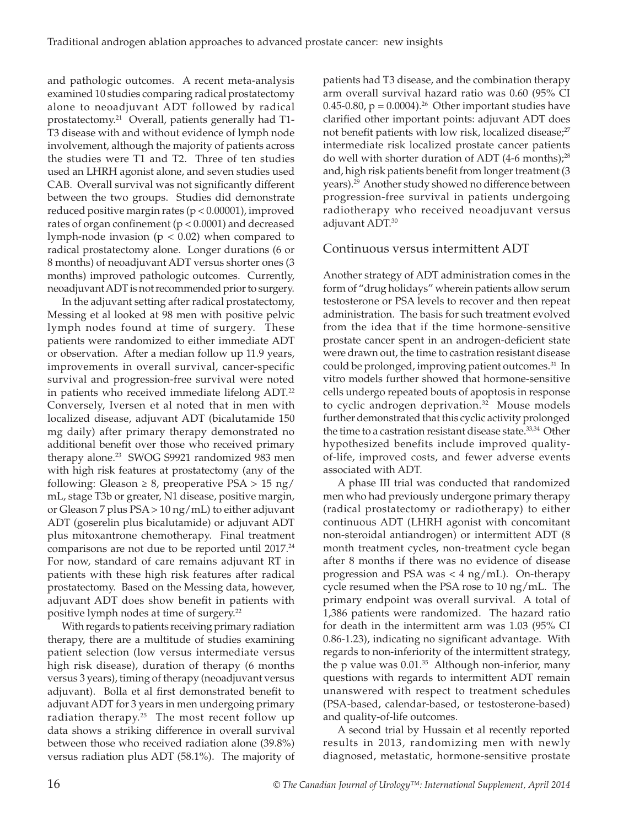and pathologic outcomes. A recent meta-analysis examined 10 studies comparing radical prostatectomy alone to neoadjuvant ADT followed by radical prostatectomy.21 Overall, patients generally had T1- T3 disease with and without evidence of lymph node involvement, although the majority of patients across the studies were T1 and T2. Three of ten studies used an LHRH agonist alone, and seven studies used CAB. Overall survival was not significantly different between the two groups. Studies did demonstrate reduced positive margin rates (p < 0.00001), improved rates of organ confinement (p < 0.0001) and decreased lymph-node invasion ( $p < 0.02$ ) when compared to radical prostatectomy alone. Longer durations (6 or 8 months) of neoadjuvant ADT versus shorter ones (3 months) improved pathologic outcomes. Currently, neoadjuvant ADT is not recommended prior to surgery.

In the adjuvant setting after radical prostatectomy, Messing et al looked at 98 men with positive pelvic lymph nodes found at time of surgery. These patients were randomized to either immediate ADT or observation. After a median follow up 11.9 years, improvements in overall survival, cancer-specific survival and progression-free survival were noted in patients who received immediate lifelong ADT.<sup>22</sup> Conversely, Iversen et al noted that in men with localized disease, adjuvant ADT (bicalutamide 150 mg daily) after primary therapy demonstrated no additional benefit over those who received primary therapy alone.<sup>23</sup> SWOG S9921 randomized 983 men with high risk features at prostatectomy (any of the following: Gleason  $\geq 8$ , preoperative PSA  $> 15$  ng/ mL, stage T3b or greater, N1 disease, positive margin, or Gleason 7 plus PSA > 10 ng/mL) to either adjuvant ADT (goserelin plus bicalutamide) or adjuvant ADT plus mitoxantrone chemotherapy. Final treatment comparisons are not due to be reported until 2017.<sup>24</sup> For now, standard of care remains adjuvant RT in patients with these high risk features after radical prostatectomy. Based on the Messing data, however, adjuvant ADT does show benefit in patients with positive lymph nodes at time of surgery.<sup>22</sup>

With regards to patients receiving primary radiation therapy, there are a multitude of studies examining patient selection (low versus intermediate versus high risk disease), duration of therapy (6 months versus 3 years), timing of therapy (neoadjuvant versus adjuvant). Bolla et al first demonstrated benefit to adjuvant ADT for 3 years in men undergoing primary radiation therapy.<sup>25</sup> The most recent follow up data shows a striking difference in overall survival between those who received radiation alone (39.8%) versus radiation plus ADT (58.1%). The majority of patients had T3 disease, and the combination therapy arm overall survival hazard ratio was 0.60 (95% CI 0.45-0.80,  $p = 0.0004$ .<sup>26</sup> Other important studies have clarified other important points: adjuvant ADT does not benefit patients with low risk, localized disease;<sup>27</sup> intermediate risk localized prostate cancer patients do well with shorter duration of ADT (4-6 months);<sup>28</sup> and, high risk patients benefit from longer treatment (3 years).29 Another study showed no difference between progression-free survival in patients undergoing radiotherapy who received neoadjuvant versus adjuvant ADT.<sup>30</sup>

## Continuous versus intermittent ADT

Another strategy of ADT administration comes in the form of "drug holidays" wherein patients allow serum testosterone or PSA levels to recover and then repeat administration. The basis for such treatment evolved from the idea that if the time hormone-sensitive prostate cancer spent in an androgen-deficient state were drawn out, the time to castration resistant disease could be prolonged, improving patient outcomes.<sup>31</sup> In vitro models further showed that hormone-sensitive cells undergo repeated bouts of apoptosis in response to cyclic androgen deprivation.<sup>32</sup> Mouse models further demonstrated that this cyclic activity prolonged the time to a castration resistant disease state.<sup>33,34</sup> Other hypothesized benefits include improved qualityof-life, improved costs, and fewer adverse events associated with ADT.

A phase III trial was conducted that randomized men who had previously undergone primary therapy (radical prostatectomy or radiotherapy) to either continuous ADT (LHRH agonist with concomitant non-steroidal antiandrogen) or intermittent ADT (8 month treatment cycles, non-treatment cycle began after 8 months if there was no evidence of disease progression and PSA was < 4 ng/mL). On-therapy cycle resumed when the PSA rose to 10 ng/mL. The primary endpoint was overall survival. A total of 1,386 patients were randomized. The hazard ratio for death in the intermittent arm was 1.03 (95% CI 0.86-1.23), indicating no significant advantage. With regards to non-inferiority of the intermittent strategy, the p value was  $0.01^{35}$  Although non-inferior, many questions with regards to intermittent ADT remain unanswered with respect to treatment schedules (PSA-based, calendar-based, or testosterone-based) and quality-of-life outcomes.

A second trial by Hussain et al recently reported results in 2013, randomizing men with newly diagnosed, metastatic, hormone-sensitive prostate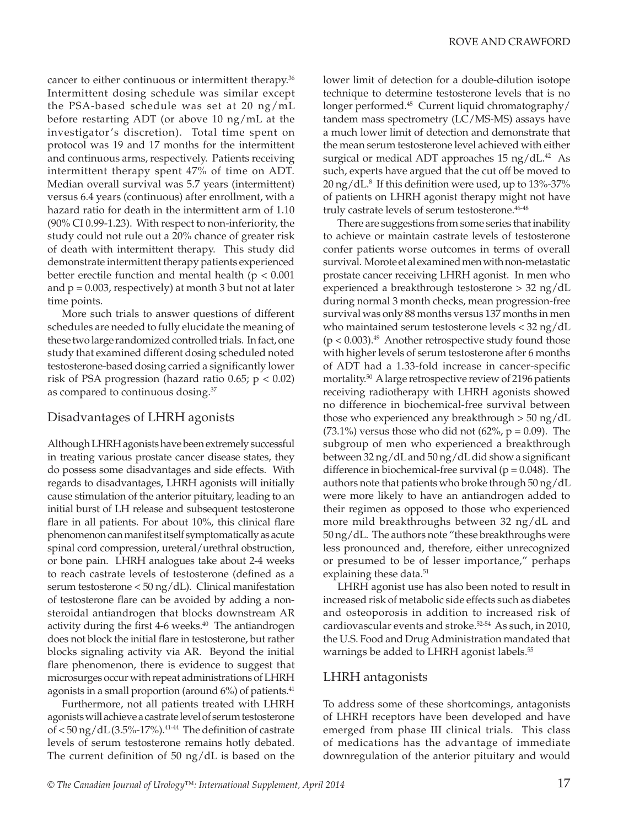cancer to either continuous or intermittent therapy.<sup>36</sup> Intermittent dosing schedule was similar except the PSA-based schedule was set at 20 ng/mL before restarting ADT (or above 10 ng/mL at the investigator 's discretion). Total time spent on protocol was 19 and 17 months for the intermittent and continuous arms, respectively. Patients receiving intermittent therapy spent 47% of time on ADT. Median overall survival was 5.7 years (intermittent) versus 6.4 years (continuous) after enrollment, with a hazard ratio for death in the intermittent arm of 1.10 (90% CI 0.99-1.23). With respect to non-inferiority, the study could not rule out a 20% chance of greater risk of death with intermittent therapy. This study did demonstrate intermittent therapy patients experienced better erectile function and mental health ( $p < 0.001$ ) and  $p = 0.003$ , respectively) at month 3 but not at later time points.

More such trials to answer questions of different schedules are needed to fully elucidate the meaning of these two large randomized controlled trials. In fact, one study that examined different dosing scheduled noted testosterone-based dosing carried a significantly lower risk of PSA progression (hazard ratio 0.65;  $p < 0.02$ ) as compared to continuous dosing.<sup>37</sup>

### Disadvantages of LHRH agonists

Although LHRH agonists have been extremely successful in treating various prostate cancer disease states, they do possess some disadvantages and side effects. With regards to disadvantages, LHRH agonists will initially cause stimulation of the anterior pituitary, leading to an initial burst of LH release and subsequent testosterone flare in all patients. For about 10%, this clinical flare phenomenon can manifest itself symptomatically as acute spinal cord compression, ureteral/urethral obstruction, or bone pain. LHRH analogues take about 2-4 weeks to reach castrate levels of testosterone (defined as a serum testosterone < 50 ng/dL). Clinical manifestation of testosterone flare can be avoided by adding a nonsteroidal antiandrogen that blocks downstream AR activity during the first  $4-6$  weeks. $40$  The antiandrogen does not block the initial flare in testosterone, but rather blocks signaling activity via AR. Beyond the initial flare phenomenon, there is evidence to suggest that microsurges occur with repeat administrations of LHRH agonists in a small proportion (around  $6\%$ ) of patients.<sup>41</sup>

Furthermore, not all patients treated with LHRH agonists will achieve a castrate level of serum testosterone of  $<$  50 ng/dL (3.5%-17%).<sup>41-44</sup> The definition of castrate levels of serum testosterone remains hotly debated. The current definition of 50 ng/dL is based on the lower limit of detection for a double-dilution isotope technique to determine testosterone levels that is no longer performed.45 Current liquid chromatography/ tandem mass spectrometry (LC/MS-MS) assays have a much lower limit of detection and demonstrate that the mean serum testosterone level achieved with either surgical or medical ADT approaches  $15 \text{ ng/dL}.$ <sup>42</sup> As such, experts have argued that the cut off be moved to 20 ng/dL.8 If this definition were used, up to 13%-37% of patients on LHRH agonist therapy might not have truly castrate levels of serum testosterone.<sup>46-48</sup>

There are suggestions from some series that inability to achieve or maintain castrate levels of testosterone confer patients worse outcomes in terms of overall survival. Morote et al examined men with non-metastatic prostate cancer receiving LHRH agonist. In men who experienced a breakthrough testosterone > 32 ng/dL during normal 3 month checks, mean progression-free survival was only 88 months versus 137 months in men who maintained serum testosterone levels < 32 ng/dL  $(p < 0.003).$ <sup>49</sup> Another retrospective study found those with higher levels of serum testosterone after 6 months of ADT had a 1.33-fold increase in cancer-specific mortality.50 A large retrospective review of 2196 patients receiving radiotherapy with LHRH agonists showed no difference in biochemical-free survival between those who experienced any breakthrough > 50 ng/dL (73.1%) versus those who did not  $(62\%, p = 0.09)$ . The subgroup of men who experienced a breakthrough between 32 ng/dL and 50 ng/dL did show a significant difference in biochemical-free survival ( $p = 0.048$ ). The authors note that patients who broke through 50 ng/dL were more likely to have an antiandrogen added to their regimen as opposed to those who experienced more mild breakthroughs between 32 ng/dL and 50 ng/dL. The authors note "these breakthroughs were less pronounced and, therefore, either unrecognized or presumed to be of lesser importance," perhaps explaining these data.<sup>51</sup>

LHRH agonist use has also been noted to result in increased risk of metabolic side effects such as diabetes and osteoporosis in addition to increased risk of cardiovascular events and stroke.<sup>52-54</sup> As such, in 2010, the U.S. Food and Drug Administration mandated that warnings be added to LHRH agonist labels.<sup>55</sup>

### LHRH antagonists

To address some of these shortcomings, antagonists of LHRH receptors have been developed and have emerged from phase III clinical trials. This class of medications has the advantage of immediate downregulation of the anterior pituitary and would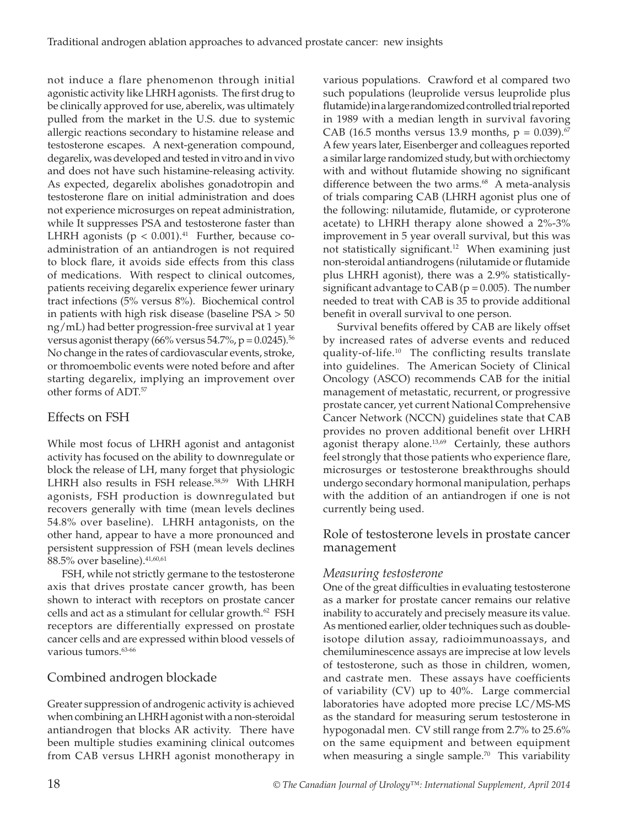not induce a flare phenomenon through initial agonistic activity like LHRH agonists. The first drug to be clinically approved for use, aberelix, was ultimately pulled from the market in the U.S. due to systemic allergic reactions secondary to histamine release and testosterone escapes. A next-generation compound, degarelix, was developed and tested in vitro and in vivo and does not have such histamine-releasing activity. As expected, degarelix abolishes gonadotropin and testosterone flare on initial administration and does not experience microsurges on repeat administration, while It suppresses PSA and testosterone faster than LHRH agonists ( $p < 0.001$ ).<sup>41</sup> Further, because coadministration of an antiandrogen is not required to block flare, it avoids side effects from this class of medications. With respect to clinical outcomes, patients receiving degarelix experience fewer urinary tract infections (5% versus 8%). Biochemical control in patients with high risk disease (baseline PSA > 50 ng/mL) had better progression-free survival at 1 year versus agonist therapy (66% versus 54.7%,  $p = 0.0245$ ).<sup>56</sup> No change in the rates of cardiovascular events, stroke, or thromoembolic events were noted before and after starting degarelix, implying an improvement over other forms of ADT.57

## Effects on FSH

While most focus of LHRH agonist and antagonist activity has focused on the ability to downregulate or block the release of LH, many forget that physiologic LHRH also results in FSH release.<sup>58,59</sup> With LHRH agonists, FSH production is downregulated but recovers generally with time (mean levels declines 54.8% over baseline). LHRH antagonists, on the other hand, appear to have a more pronounced and persistent suppression of FSH (mean levels declines 88.5% over baseline).  $41,60,61$ 

FSH, while not strictly germane to the testosterone axis that drives prostate cancer growth, has been shown to interact with receptors on prostate cancer cells and act as a stimulant for cellular growth.<sup>62</sup> FSH receptors are differentially expressed on prostate cancer cells and are expressed within blood vessels of various tumors.<sup>63-66</sup>

## Combined androgen blockade

Greater suppression of androgenic activity is achieved when combining an LHRH agonist with a non-steroidal antiandrogen that blocks AR activity. There have been multiple studies examining clinical outcomes from CAB versus LHRH agonist monotherapy in

various populations. Crawford et al compared two such populations (leuprolide versus leuprolide plus flutamide) in a large randomized controlled trial reported in 1989 with a median length in survival favoring CAB (16.5 months versus 13.9 months,  $p = 0.039$ ).<sup>67</sup> A few years later, Eisenberger and colleagues reported a similar large randomized study, but with orchiectomy with and without flutamide showing no significant difference between the two arms.<sup>68</sup> A meta-analysis of trials comparing CAB (LHRH agonist plus one of the following: nilutamide, flutamide, or cyproterone acetate) to LHRH therapy alone showed a 2%-3% improvement in 5 year overall survival, but this was not statistically significant.<sup>12</sup> When examining just non-steroidal antiandrogens (nilutamide or flutamide plus LHRH agonist), there was a 2.9% statisticallysignificant advantage to  $CAB$  ( $p = 0.005$ ). The number needed to treat with CAB is 35 to provide additional benefit in overall survival to one person.

Survival benefits offered by CAB are likely offset by increased rates of adverse events and reduced quality-of-life.10 The conflicting results translate into guidelines. The American Society of Clinical Oncology (ASCO) recommends CAB for the initial management of metastatic, recurrent, or progressive prostate cancer, yet current National Comprehensive Cancer Network (NCCN) guidelines state that CAB provides no proven additional benefit over LHRH agonist therapy alone.<sup>13,69</sup> Certainly, these authors feel strongly that those patients who experience flare, microsurges or testosterone breakthroughs should undergo secondary hormonal manipulation, perhaps with the addition of an antiandrogen if one is not currently being used.

### Role of testosterone levels in prostate cancer management

## *Measuring testosterone*

One of the great difficulties in evaluating testosterone as a marker for prostate cancer remains our relative inability to accurately and precisely measure its value. As mentioned earlier, older techniques such as doubleisotope dilution assay, radioimmunoassays, and chemiluminescence assays are imprecise at low levels of testosterone, such as those in children, women, and castrate men. These assays have coefficients of variability (CV) up to 40%. Large commercial laboratories have adopted more precise LC/MS-MS as the standard for measuring serum testosterone in hypogonadal men. CV still range from 2.7% to 25.6% on the same equipment and between equipment when measuring a single sample.<sup>70</sup> This variability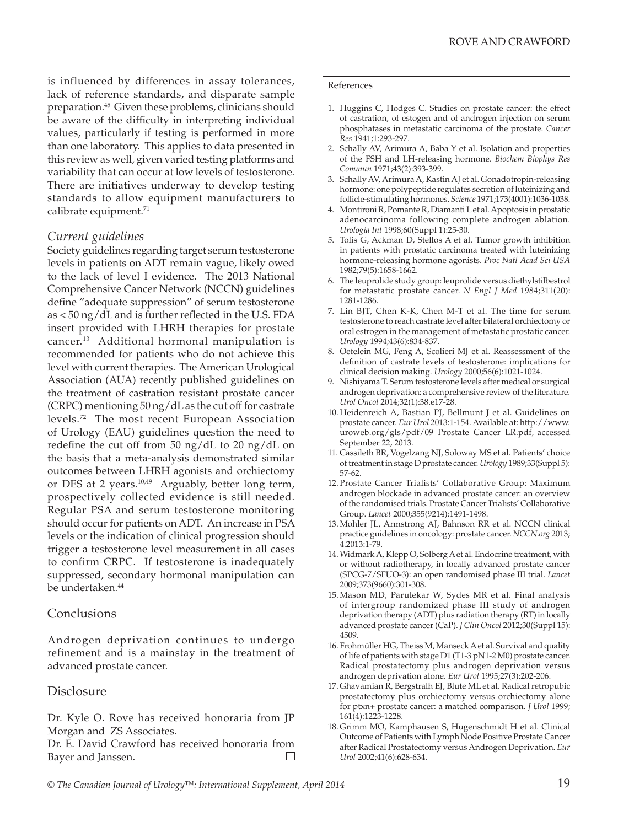is influenced by differences in assay tolerances, lack of reference standards, and disparate sample preparation.<sup>45</sup> Given these problems, clinicians should be aware of the difficulty in interpreting individual values, particularly if testing is performed in more than one laboratory. This applies to data presented in this review as well, given varied testing platforms and variability that can occur at low levels of testosterone. There are initiatives underway to develop testing standards to allow equipment manufacturers to calibrate equipment.<sup>71</sup>

### *Current guidelines*

Society guidelines regarding target serum testosterone levels in patients on ADT remain vague, likely owed to the lack of level I evidence. The 2013 National Comprehensive Cancer Network (NCCN) guidelines define "adequate suppression" of serum testosterone as < 50 ng/dL and is further reflected in the U.S. FDA insert provided with LHRH therapies for prostate cancer.13 Additional hormonal manipulation is recommended for patients who do not achieve this level with current therapies. The American Urological Association (AUA) recently published guidelines on the treatment of castration resistant prostate cancer (CRPC) mentioning 50 ng/dL as the cut off for castrate levels.72 The most recent European Association of Urology (EAU) guidelines question the need to redefine the cut off from 50 ng/dL to 20 ng/dL on the basis that a meta-analysis demonstrated similar outcomes between LHRH agonists and orchiectomy or DES at 2 years.<sup>10,49</sup> Arguably, better long term, prospectively collected evidence is still needed. Regular PSA and serum testosterone monitoring should occur for patients on ADT. An increase in PSA levels or the indication of clinical progression should trigger a testosterone level measurement in all cases to confirm CRPC. If testosterone is inadequately suppressed, secondary hormonal manipulation can be undertaken.<sup>44</sup>

### **Conclusions**

Androgen deprivation continues to undergo refinement and is a mainstay in the treatment of advanced prostate cancer.

### **Disclosure**

Dr. Kyle O. Rove has received honoraria from JP Morgan and ZS Associates.

Dr. E. David Crawford has received honoraria from Bayer and Janssen.  $\Box$ 

#### References

- 1. Huggins C, Hodges C. Studies on prostate cancer: the effect of castration, of estogen and of androgen injection on serum phosphatases in metastatic carcinoma of the prostate. *Cancer Res* 1941;1:293-297.
- 2. Schally AV, Arimura A, Baba Y et al. Isolation and properties of the FSH and LH-releasing hormone. *Biochem Biophys Res Commun* 1971;43(2):393-399.
- 3. Schally AV, Arimura A, Kastin AJ et al. Gonadotropin-releasing hormone: one polypeptide regulates secretion of luteinizing and follicle-stimulating hormones. *Science* 1971;173(4001):1036-1038.
- 4. Montironi R, Pomante R, Diamanti L et al. Apoptosis in prostatic adenocarcinoma following complete androgen ablation. *Urologia Int* 1998;60(Suppl 1):25-30.
- 5. Tolis G, Ackman D, Stellos A et al. Tumor growth inhibition in patients with prostatic carcinoma treated with luteinizing hormone-releasing hormone agonists. *Proc Natl Acad Sci USA* 1982;79(5):1658-1662.
- 6. The leuprolide study group: leuprolide versus diethylstilbestrol for metastatic prostate cancer. *N Engl J Med* 1984;311(20): 1281-1286.
- 7. Lin BJT, Chen K-K, Chen M-T et al. The time for serum testosterone to reach castrate level after bilateral orchiectomy or oral estrogen in the management of metastatic prostatic cancer. *Urology* 1994;43(6):834-837.
- 8. Oefelein MG, Feng A, Scolieri MJ et al. Reassessment of the definition of castrate levels of testosterone: implications for clinical decision making. *Urology* 2000;56(6):1021-1024.
- 9. Nishiyama T. Serum testosterone levels after medical or surgical androgen deprivation: a comprehensive review of the literature. *Urol Oncol* 2014;32(1):38.e17-28.
- 10. Heidenreich A, Bastian PJ, Bellmunt J et al. Guidelines on prostate cancer. *Eur Urol* 2013:1-154. Available at: http://www. uroweb.org/gls/pdf/09\_Prostate\_Cancer\_LR.pdf, accessed September 22, 2013.
- 11. Cassileth BR, Vogelzang NJ, Soloway MS et al. Patients' choice of treatment in stage D prostate cancer. *Urology* 1989;33(Suppl 5): 57-62.
- 12. Prostate Cancer Trialists' Collaborative Group: Maximum androgen blockade in advanced prostate cancer: an overview of the randomised trials. Prostate Cancer Trialists' Collaborative Group. *Lancet* 2000;355(9214):1491-1498.
- 13.Mohler JL, Armstrong AJ, Bahnson RR et al. NCCN clinical practice guidelines in oncology: prostate cancer. *NCCN.org* 2013; 4.2013:1-79.
- 14.Widmark A, Klepp O, Solberg A et al. Endocrine treatment, with or without radiotherapy, in locally advanced prostate cancer (SPCG-7/SFUO-3): an open randomised phase III trial. *Lancet* 2009;373(9660):301-308.
- 15.Mason MD, Parulekar W, Sydes MR et al. Final analysis of intergroup randomized phase III study of androgen deprivation therapy (ADT) plus radiation therapy (RT) in locally advanced prostate cancer (CaP). *J Clin Oncol* 2012;30(Suppl 15): 4509.
- 16. Frohmüller HG, Theiss M, Manseck A et al. Survival and quality of life of patients with stage D1 (T1-3 pN1-2 M0) prostate cancer. Radical prostatectomy plus androgen deprivation versus androgen deprivation alone. *Eur Urol* 1995;27(3):202-206.
- 17. Ghavamian R, Bergstralh EJ, Blute ML et al. Radical retropubic prostatectomy plus orchiectomy versus orchiectomy alone for ptxn+ prostate cancer: a matched comparison. *J Urol* 1999; 161(4):1223-1228.
- 18. Grimm MO, Kamphausen S, Hugenschmidt H et al. Clinical Outcome of Patients with Lymph Node Positive Prostate Cancer after Radical Prostatectomy versus Androgen Deprivation. *Eur Urol* 2002;41(6):628-634.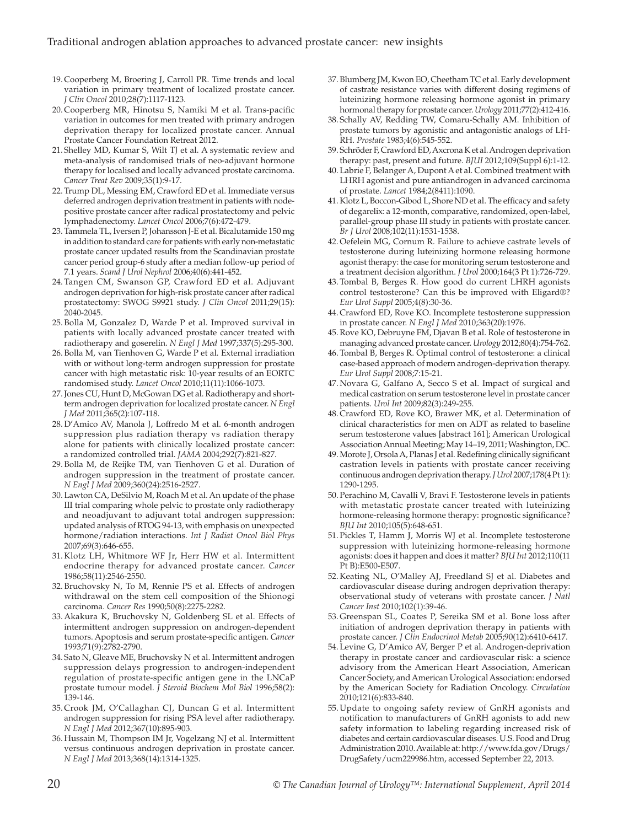- 19. Cooperberg M, Broering J, Carroll PR. Time trends and local variation in primary treatment of localized prostate cancer. *J Clin Oncol* 2010;28(7):1117-1123.
- 20. Cooperberg MR, Hinotsu S, Namiki M et al. Trans-pacific variation in outcomes for men treated with primary androgen deprivation therapy for localized prostate cancer. Annual Prostate Cancer Foundation Retreat 2012.
- 21. Shelley MD, Kumar S, Wilt TJ et al. A systematic review and meta-analysis of randomised trials of neo-adjuvant hormone therapy for localised and locally advanced prostate carcinoma. *Cancer Treat Rev* 2009;35(1):9-17.
- 22. Trump DL, Messing EM, Crawford ED et al. Immediate versus deferred androgen deprivation treatment in patients with nodepositive prostate cancer after radical prostatectomy and pelvic lymphadenectomy. *Lancet Oncol* 2006;7(6):472-479.
- 23. Tammela TL, Iversen P, Johansson J-E et al. Bicalutamide 150 mg in addition to standard care for patients with early non-metastatic prostate cancer updated results from the Scandinavian prostate cancer period group-6 study after a median follow-up period of 7.1 years. *Scand J Urol Nephrol* 2006;40(6):441-452.
- 24. Tangen CM, Swanson GP, Crawford ED et al. Adjuvant androgen deprivation for high-risk prostate cancer after radical prostatectomy: SWOG S9921 study. *J Clin Oncol* 2011;29(15): 2040-2045.
- 25. Bolla M, Gonzalez D, Warde P et al. Improved survival in patients with locally advanced prostate cancer treated with radiotherapy and goserelin. *N Engl J Med* 1997;337(5):295-300.
- 26. Bolla M, van Tienhoven G, Warde P et al. External irradiation with or without long-term androgen suppression for prostate cancer with high metastatic risk: 10-year results of an EORTC randomised study. *Lancet Oncol* 2010;11(11):1066-1073.
- 27.Jones CU, Hunt D, McGowan DG et al. Radiotherapy and shortterm androgen deprivation for localized prostate cancer. *N Engl J Med* 2011;365(2):107-118.
- 28. D'Amico AV, Manola J, Loffredo M et al. 6-month androgen suppression plus radiation therapy vs radiation therapy alone for patients with clinically localized prostate cancer: a randomized controlled trial. *JAMA* 2004;292(7):821-827.
- 29. Bolla M, de Reijke TM, van Tienhoven G et al. Duration of androgen suppression in the treatment of prostate cancer. *N Engl J Med* 2009;360(24):2516-2527.
- 30. Lawton CA, DeSilvio M, Roach M et al. An update of the phase III trial comparing whole pelvic to prostate only radiotherapy and neoadjuvant to adjuvant total androgen suppression: updated analysis of RTOG 94-13, with emphasis on unexpected hormone/radiation interactions. *Int J Radiat Oncol Biol Phys* 2007;69(3):646-655.
- 31. Klotz LH, Whitmore WF Jr, Herr HW et al. Intermittent endocrine therapy for advanced prostate cancer. *Cancer* 1986;58(11):2546-2550.
- 32. Bruchovsky N, To M, Rennie PS et al. Effects of androgen withdrawal on the stem cell composition of the Shionogi carcinoma. *Cancer Res* 1990;50(8):2275-2282.
- 33. Akakura K, Bruchovsky N, Goldenberg SL et al. Effects of intermittent androgen suppression on androgen-dependent tumors. Apoptosis and serum prostate-specific antigen. *Cancer* 1993;71(9):2782-2790.
- 34. Sato N, Gleave ME, Bruchovsky N et al. Intermittent androgen suppression delays progression to androgen-independent regulation of prostate-specific antigen gene in the LNCaP prostate tumour model. *J Steroid Biochem Mol Biol* 1996;58(2): 139-146.
- 35. Crook JM, O'Callaghan CJ, Duncan G et al. Intermittent androgen suppression for rising PSA level after radiotherapy. *N Engl J Med* 2012;367(10):895-903.
- 36. Hussain M, Thompson IM Jr, Vogelzang NJ et al. Intermittent versus continuous androgen deprivation in prostate cancer. *N Engl J Med* 2013;368(14):1314-1325.
- 37. Blumberg JM, Kwon EO, Cheetham TC et al. Early development of castrate resistance varies with different dosing regimens of luteinizing hormone releasing hormone agonist in primary hormonal therapy for prostate cancer. *Urology* 2011;77(2):412-416.
- 38. Schally AV, Redding TW, Comaru-Schally AM. Inhibition of prostate tumors by agonistic and antagonistic analogs of LH-RH. *Prostate* 1983;4(6):545-552.
- 39. Schröder F, Crawford ED, Axcrona K et al. Androgen deprivation therapy: past, present and future. *BJUI* 2012;109(Suppl 6):1-12.
- 40. Labrie F, Belanger A, Dupont A et al. Combined treatment with LHRH agonist and pure antiandrogen in advanced carcinoma of prostate. *Lancet* 1984;2(8411):1090.
- 41. Klotz L, Boccon-Gibod L, Shore ND et al. The efficacy and safety of degarelix: a 12-month, comparative, randomized, open-label, parallel-group phase III study in patients with prostate cancer. *Br J Urol* 2008;102(11):1531-1538.
- 42.Oefelein MG, Cornum R. Failure to achieve castrate levels of testosterone during luteinizing hormone releasing hormone agonist therapy: the case for monitoring serum testosterone and a treatment decision algorithm. *J Urol* 2000;164(3 Pt 1):726-729.
- 43. Tombal B, Berges R. How good do current LHRH agonists control testosterone? Can this be improved with Eligard®? *Eur Urol Suppl* 2005;4(8):30-36.
- 44. Crawford ED, Rove KO. Incomplete testosterone suppression in prostate cancer. *N Engl J Med* 2010;363(20):1976.
- 45.Rove KO, Debruyne FM, Djavan B et al. Role of testosterone in managing advanced prostate cancer. *Urology* 2012;80(4):754-762.
- 46. Tombal B, Berges R. Optimal control of testosterone: a clinical case-based approach of modern androgen-deprivation therapy. *Eur Urol Suppl* 2008;7:15-21.
- 47. Novara G, Galfano A, Secco S et al. Impact of surgical and medical castration on serum testosterone level in prostate cancer patients. *Urol Int* 2009;82(3):249-255.
- 48. Crawford ED, Rove KO, Brawer MK, et al. Determination of clinical characteristics for men on ADT as related to baseline serum testosterone values [abstract 161]; American Urological Association Annual Meeting; May 14–19, 2011; Washington, DC.
- 49.Morote J, Orsola A, Planas J et al. Redefining clinically significant castration levels in patients with prostate cancer receiving continuous androgen deprivation therapy. *J Urol* 2007;178(4 Pt 1): 1290-1295.
- 50. Perachino M, Cavalli V, Bravi F. Testosterone levels in patients with metastatic prostate cancer treated with luteinizing hormone-releasing hormone therapy: prognostic significance? *BJU Int* 2010;105(5):648-651.
- 51. Pickles T, Hamm J, Morris WJ et al. Incomplete testosterone suppression with luteinizing hormone-releasing hormone agonists: does it happen and does it matter? *BJU Int* 2012;110(11 Pt B):E500-E507.
- 52. Keating NL, O'Malley AJ, Freedland SJ et al. Diabetes and cardiovascular disease during androgen deprivation therapy: observational study of veterans with prostate cancer. *J Natl Cancer Inst* 2010;102(1):39-46.
- 53. Greenspan SL, Coates P, Sereika SM et al. Bone loss after initiation of androgen deprivation therapy in patients with prostate cancer. *J Clin Endocrinol Metab* 2005;90(12):6410-6417.
- 54. Levine G, D'Amico AV, Berger P et al. Androgen-deprivation therapy in prostate cancer and cardiovascular risk: a science advisory from the American Heart Association, American Cancer Society, and American Urological Association: endorsed by the American Society for Radiation Oncology. *Circulation* 2010;121(6):833-840.
- 55. Update to ongoing safety review of GnRH agonists and notification to manufacturers of GnRH agonists to add new safety information to labeling regarding increased risk of diabetes and certain cardiovascular diseases. U.S. Food and Drug Administration 2010. Available at: http://www.fda.gov/Drugs/ DrugSafety/ucm229986.htm, accessed September 22, 2013.